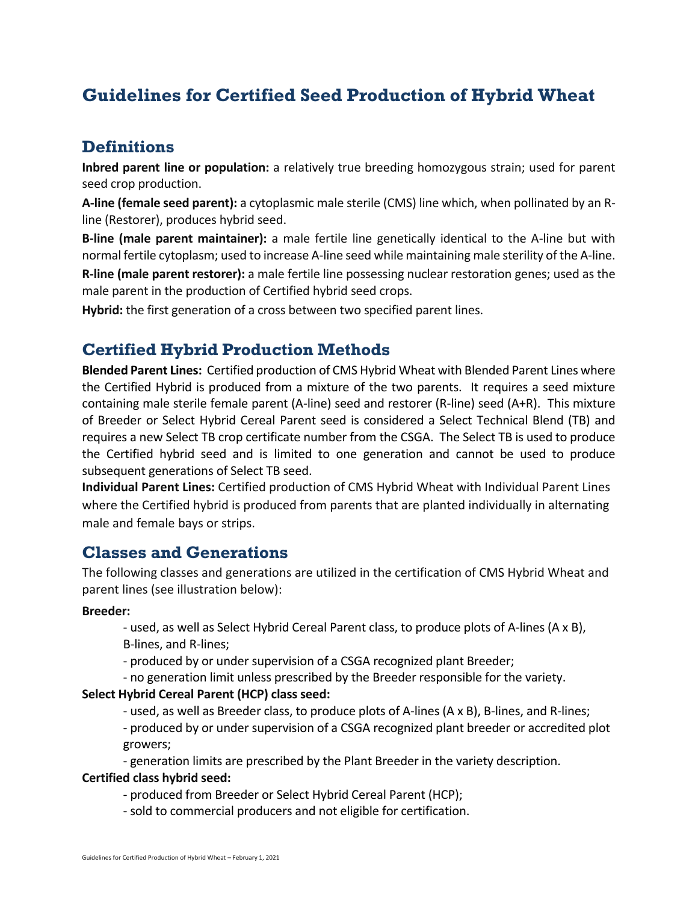# **Guidelines for Certified Seed Production of Hybrid Wheat**

## **Definitions**

**Inbred parent line or population:** a relatively true breeding homozygous strain; used for parent seed crop production.

**A-line (female seed parent):** a cytoplasmic male sterile (CMS) line which, when pollinated by an Rline (Restorer), produces hybrid seed.

**B-line (male parent maintainer):** a male fertile line genetically identical to the A-line but with normal fertile cytoplasm; used to increase A-line seed while maintaining male sterility of the A-line.

**R-line (male parent restorer):** a male fertile line possessing nuclear restoration genes; used as the male parent in the production of Certified hybrid seed crops.

**Hybrid:** the first generation of a cross between two specified parent lines.

## **Certified Hybrid Production Methods**

**Blended Parent Lines:** Certified production of CMS Hybrid Wheat with Blended Parent Lines where the Certified Hybrid is produced from a mixture of the two parents. It requires a seed mixture containing male sterile female parent (A-line) seed and restorer (R-line) seed (A+R). This mixture of Breeder or Select Hybrid Cereal Parent seed is considered a Select Technical Blend (TB) and requires a new Select TB crop certificate number from the CSGA. The Select TB is used to produce the Certified hybrid seed and is limited to one generation and cannot be used to produce subsequent generations of Select TB seed.

**Individual Parent Lines:** Certified production of CMS Hybrid Wheat with Individual Parent Lines where the Certified hybrid is produced from parents that are planted individually in alternating male and female bays or strips.

### **Classes and Generations**

The following classes and generations are utilized in the certification of CMS Hybrid Wheat and parent lines (see illustration below):

#### **Breeder:**

- used, as well as Select Hybrid Cereal Parent class, to produce plots of A-lines (A x B), B-lines, and R-lines;

- produced by or under supervision of a CSGA recognized plant Breeder;
- no generation limit unless prescribed by the Breeder responsible for the variety.

#### **Select Hybrid Cereal Parent (HCP) class seed:**

- used, as well as Breeder class, to produce plots of A-lines (A x B), B-lines, and R-lines;

- produced by or under supervision of a CSGA recognized plant breeder or accredited plot growers;

- generation limits are prescribed by the Plant Breeder in the variety description. **Certified class hybrid seed:**

#### - produced from Breeder or Select Hybrid Cereal Parent (HCP);

- sold to commercial producers and not eligible for certification.